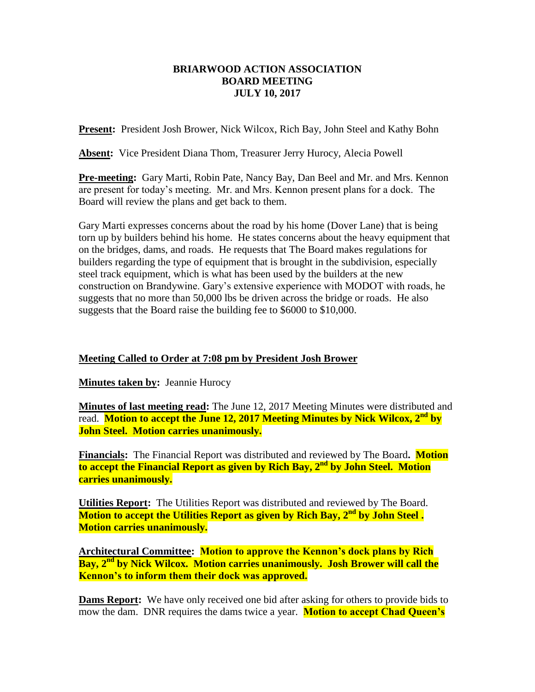## **BRIARWOOD ACTION ASSOCIATION BOARD MEETING JULY 10, 2017**

**Present:** President Josh Brower, Nick Wilcox, Rich Bay, John Steel and Kathy Bohn

**Absent:** Vice President Diana Thom, Treasurer Jerry Hurocy, Alecia Powell

**Pre-meeting:** Gary Marti, Robin Pate, Nancy Bay, Dan Beel and Mr. and Mrs. Kennon are present for today's meeting. Mr. and Mrs. Kennon present plans for a dock. The Board will review the plans and get back to them.

Gary Marti expresses concerns about the road by his home (Dover Lane) that is being torn up by builders behind his home. He states concerns about the heavy equipment that on the bridges, dams, and roads. He requests that The Board makes regulations for builders regarding the type of equipment that is brought in the subdivision, especially steel track equipment, which is what has been used by the builders at the new construction on Brandywine. Gary's extensive experience with MODOT with roads, he suggests that no more than 50,000 lbs be driven across the bridge or roads. He also suggests that the Board raise the building fee to \$6000 to \$10,000.

**Meeting Called to Order at 7:08 pm by President Josh Brower**

**Minutes taken by: Jeannie Hurocy** 

**Minutes of last meeting read:** The June 12, 2017 Meeting Minutes were distributed and read. **Motion to accept the June 12, 2017 Meeting Minutes by Nick Wilcox, 2nd by John Steel. Motion carries unanimously.**

**Financials:** The Financial Report was distributed and reviewed by The Board**. Motion to accept the Financial Report as given by Rich Bay, 2nd by John Steel. Motion carries unanimously.**

**Utilities Report:** The Utilities Report was distributed and reviewed by The Board. **Motion to accept the Utilities Report as given by Rich Bay, 2nd by John Steel . Motion carries unanimously.**

**Architectural Committee: Motion to approve the Kennon's dock plans by Rich Bay, 2nd by Nick Wilcox. Motion carries unanimously. Josh Brower will call the Kennon's to inform them their dock was approved.**

**Dams Report:** We have only received one bid after asking for others to provide bids to mow the dam. DNR requires the dams twice a year. **Motion to accept Chad Queen's**